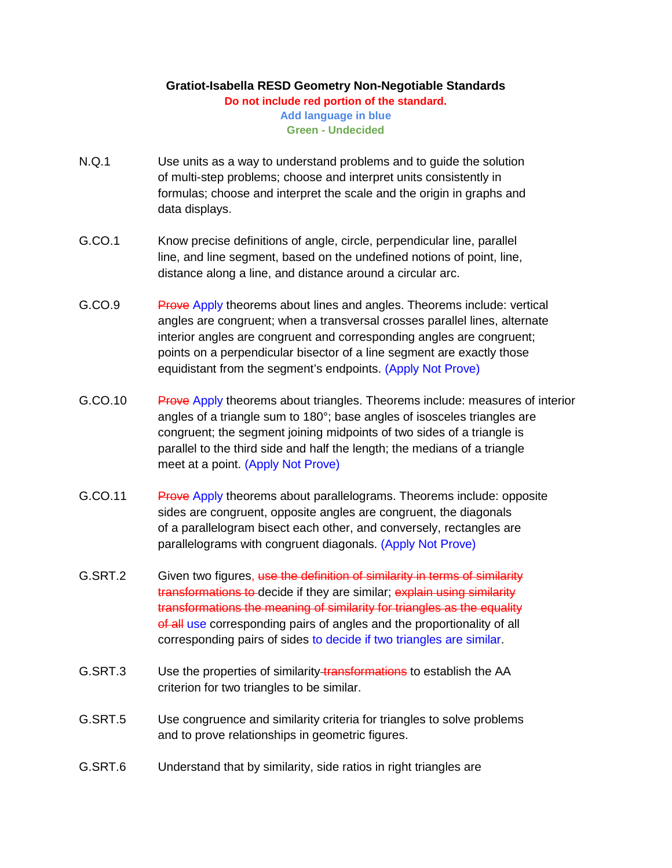## **Gratiot-Isabella RESD Geometry Non-Negotiable Standards Do not include red portion of the standard. Add language in blue Green - Undecided**

- N.Q.1 Use units as a way to understand problems and to guide the solution of multi-step problems; choose and interpret units consistently in formulas; choose and interpret the scale and the origin in graphs and data displays.
- G.CO.1 Know precise definitions of angle, circle, perpendicular line, parallel line, and line segment, based on the undefined notions of point, line, distance along a line, and distance around a circular arc.
- G.CO.9 Prove Apply theorems about lines and angles. Theorems include: vertical angles are congruent; when a transversal crosses parallel lines, alternate interior angles are congruent and corresponding angles are congruent; points on a perpendicular bisector of a line segment are exactly those equidistant from the segment's endpoints. (Apply Not Prove)
- G.CO.10 Prove Apply theorems about triangles. Theorems include: measures of interior angles of a triangle sum to 180°; base angles of isosceles triangles are congruent; the segment joining midpoints of two sides of a triangle is parallel to the third side and half the length; the medians of a triangle meet at a point. (Apply Not Prove)
- G.CO.11 Prove Apply theorems about parallelograms. Theorems include: opposite sides are congruent, opposite angles are congruent, the diagonals of a parallelogram bisect each other, and conversely, rectangles are parallelograms with congruent diagonals. (Apply Not Prove)
- G.SRT.2 Given two figures, use the definition of similarity in terms of similarity transformations to decide if they are similar; explain using similarity transformations the meaning of similarity for triangles as the equality of all use corresponding pairs of angles and the proportionality of all corresponding pairs of sides to decide if two triangles are similar.
- G.SRT.3 Use the properties of similarity transformations to establish the AA criterion for two triangles to be similar.
- G.SRT.5 Use congruence and similarity criteria for triangles to solve problems and to prove relationships in geometric figures.
- G.SRT.6 Understand that by similarity, side ratios in right triangles are